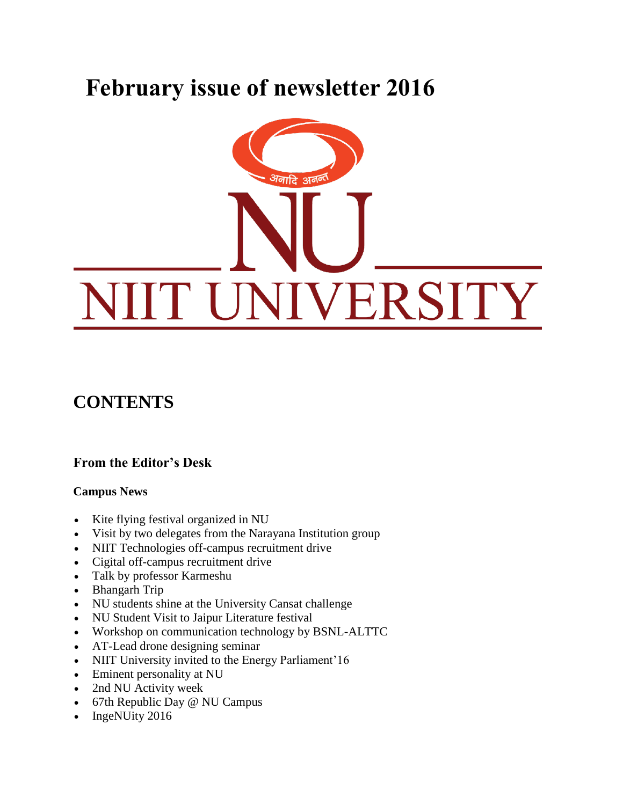# **February issue of newsletter 2016**



# **CONTENTS**

# **From the Editor's Desk**

### **Campus News**

- Kite flying festival organized in NU
- Visit by two delegates from the Narayana Institution group
- NIIT Technologies off-campus recruitment drive
- Cigital off-campus recruitment drive
- Talk by professor Karmeshu
- Bhangarh Trip
- NU students shine at the University Cansat challenge
- NU Student Visit to Jaipur Literature festival
- Workshop on communication technology by BSNL-ALTTC
- AT-Lead drone designing seminar
- NIIT University invited to the Energy Parliament'16
- Eminent personality at NU
- 2nd NU Activity week
- 67th Republic Day @ NU Campus
- IngeNUity 2016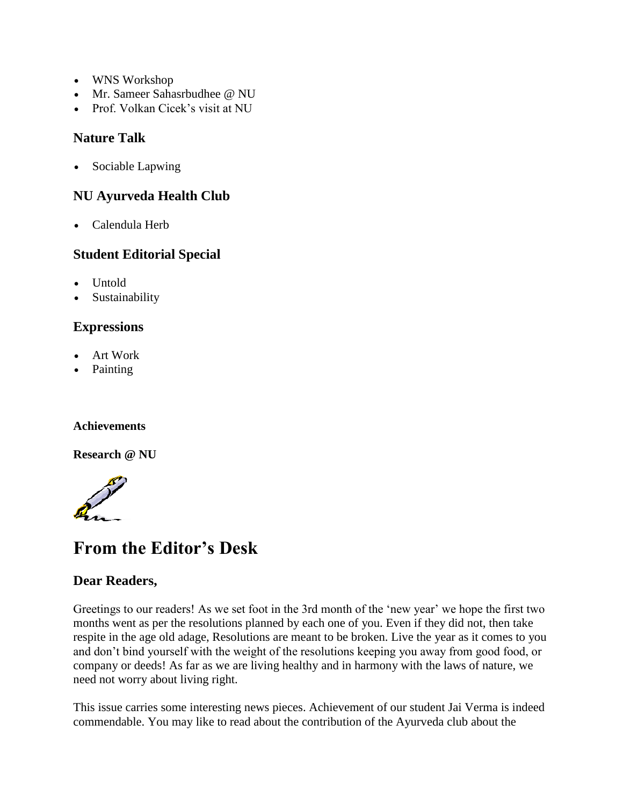- WNS Workshop
- Mr. Sameer Sahasrbudhee @ NU
- Prof. Volkan Cicek's visit at NU

### **Nature Talk**

• Sociable Lapwing

### **NU Ayurveda Health Club**

Calendula Herb

### **Student Editorial Special**

- Untold
- Sustainability

# **Expressions**

- Art Work
- Painting

### **Achievements**

**Research @ NU**



# **From the Editor's Desk**

### **Dear Readers,**

Greetings to our readers! As we set foot in the 3rd month of the 'new year' we hope the first two months went as per the resolutions planned by each one of you. Even if they did not, then take respite in the age old adage, Resolutions are meant to be broken. Live the year as it comes to you and don't bind yourself with the weight of the resolutions keeping you away from good food, or company or deeds! As far as we are living healthy and in harmony with the laws of nature, we need not worry about living right.

This issue carries some interesting news pieces. Achievement of our student Jai Verma is indeed commendable. You may like to read about the contribution of the Ayurveda club about the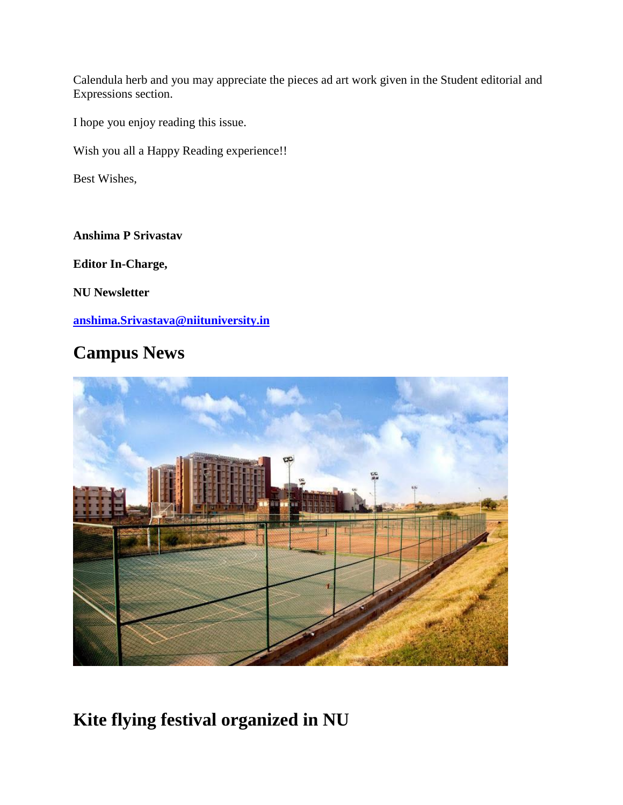Calendula herb and you may appreciate the pieces ad art work given in the Student editorial and Expressions section.

I hope you enjoy reading this issue.

Wish you all a Happy Reading experience!!

Best Wishes,

**Anshima P Srivastav**

**Editor In-Charge,**

**NU Newsletter**

**[anshima.Srivastava@niituniversity.in](mailto:anshima.Srivastava@niituniversity.in)**

# **Campus News**



**Kite flying festival organized in NU**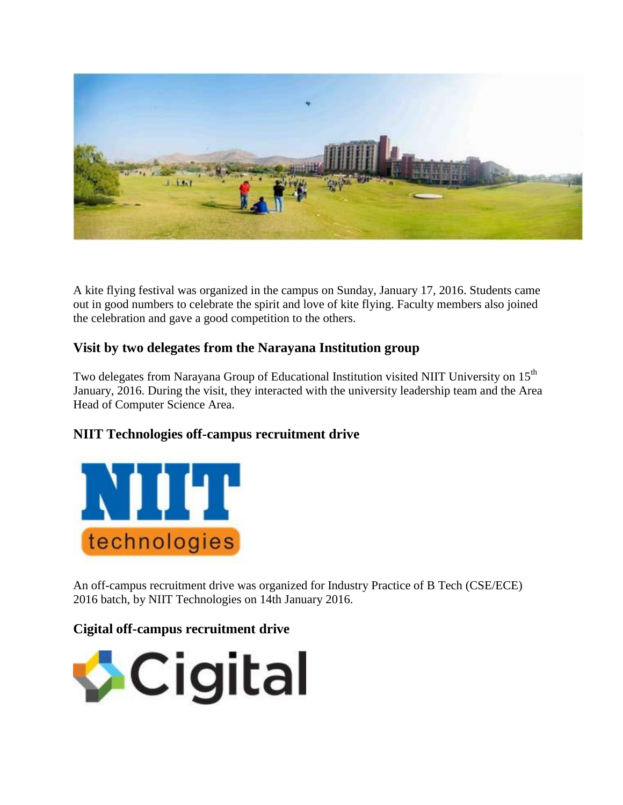

A kite flying festival was organized in the campus on Sunday, January 17, 2016. Students came out in good numbers to celebrate the spirit and love of kite flying. Faculty members also joined the celebration and gave a good competition to the others.

# **Visit by two delegates from the Narayana Institution group**

Two delegates from Narayana Group of Educational Institution visited NIIT University on 15<sup>th</sup> January, 2016. During the visit, they interacted with the university leadership team and the Area Head of Computer Science Area.

# **NIIT Technologies off-campus recruitment drive**



An off-campus recruitment drive was organized for Industry Practice of B Tech (CSE/ECE) 2016 batch, by NIIT Technologies on 14th January 2016.

# **Cigital off-campus recruitment drive**

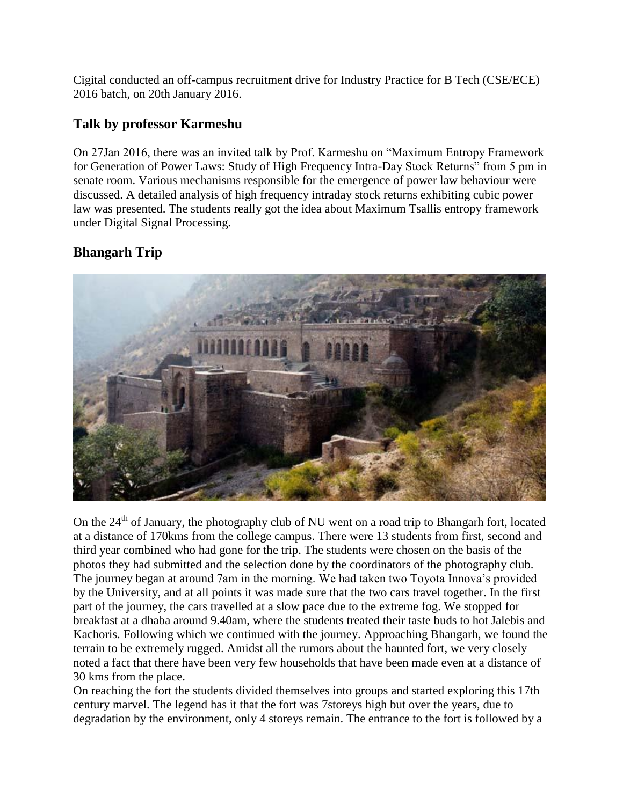Cigital conducted an off-campus recruitment drive for Industry Practice for B Tech (CSE/ECE) 2016 batch, on 20th January 2016.

# **Talk by professor Karmeshu**

On 27Jan 2016, there was an invited talk by Prof. Karmeshu on "Maximum Entropy Framework for Generation of Power Laws: Study of High Frequency Intra-Day Stock Returns" from 5 pm in senate room. Various mechanisms responsible for the emergence of power law behaviour were discussed. A detailed analysis of high frequency intraday stock returns exhibiting cubic power law was presented. The students really got the idea about Maximum Tsallis entropy framework under Digital Signal Processing.

# **Bhangarh Trip**



On the  $24<sup>th</sup>$  of January, the photography club of NU went on a road trip to Bhangarh fort, located at a distance of 170kms from the college campus. There were 13 students from first, second and third year combined who had gone for the trip. The students were chosen on the basis of the photos they had submitted and the selection done by the coordinators of the photography club. The journey began at around 7am in the morning. We had taken two Toyota Innova's provided by the University, and at all points it was made sure that the two cars travel together. In the first part of the journey, the cars travelled at a slow pace due to the extreme fog. We stopped for breakfast at a dhaba around 9.40am, where the students treated their taste buds to hot Jalebis and Kachoris. Following which we continued with the journey. Approaching Bhangarh, we found the terrain to be extremely rugged. Amidst all the rumors about the haunted fort, we very closely noted a fact that there have been very few households that have been made even at a distance of 30 kms from the place.

On reaching the fort the students divided themselves into groups and started exploring this 17th century marvel. The legend has it that the fort was 7storeys high but over the years, due to degradation by the environment, only 4 storeys remain. The entrance to the fort is followed by a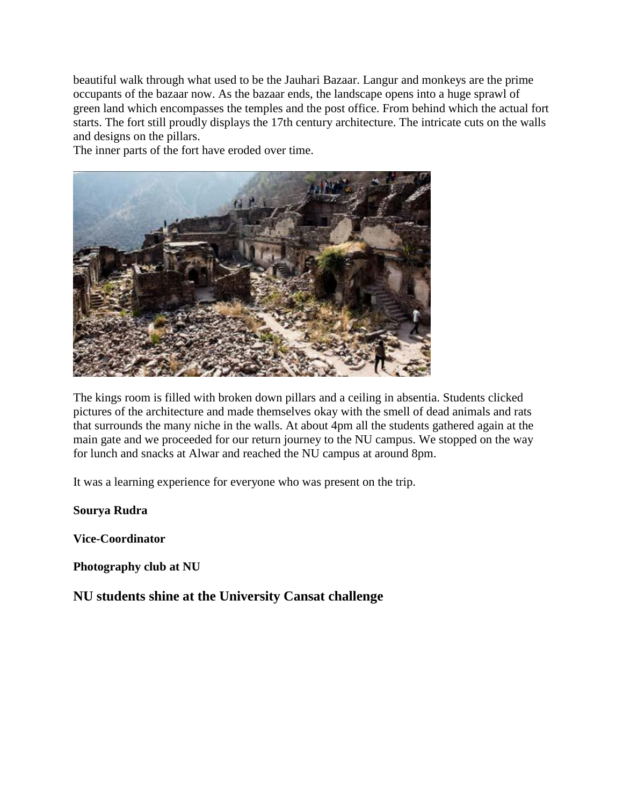beautiful walk through what used to be the Jauhari Bazaar. Langur and monkeys are the prime occupants of the bazaar now. As the bazaar ends, the landscape opens into a huge sprawl of green land which encompasses the temples and the post office. From behind which the actual fort starts. The fort still proudly displays the 17th century architecture. The intricate cuts on the walls and designs on the pillars.

The inner parts of the fort have eroded over time.



The kings room is filled with broken down pillars and a ceiling in absentia. Students clicked pictures of the architecture and made themselves okay with the smell of dead animals and rats that surrounds the many niche in the walls. At about 4pm all the students gathered again at the main gate and we proceeded for our return journey to the NU campus. We stopped on the way for lunch and snacks at Alwar and reached the NU campus at around 8pm.

It was a learning experience for everyone who was present on the trip.

**Sourya Rudra**

**Vice-Coordinator** 

**Photography club at NU**

**NU students shine at the University Cansat challenge**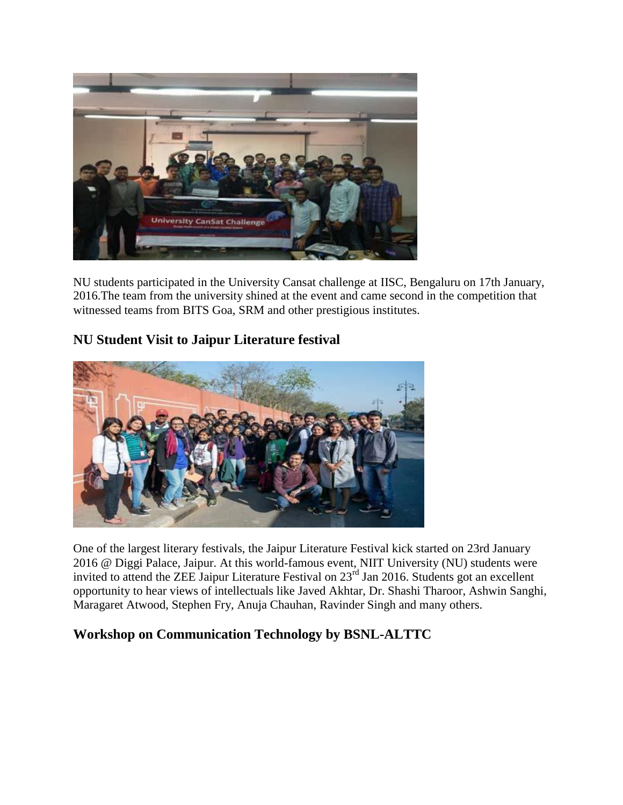

NU students participated in the University Cansat challenge at IISC, Bengaluru on 17th January, 2016.The team from the university shined at the event and came second in the competition that witnessed teams from BITS Goa, SRM and other prestigious institutes.

# **NU Student Visit to Jaipur Literature festival**



One of the largest literary festivals, the Jaipur Literature Festival kick started on 23rd January 2016 @ Diggi Palace, Jaipur. At this world-famous event, NIIT University (NU) students were invited to attend the ZEE Jaipur Literature Festival on 23<sup>rd</sup> Jan 2016. Students got an excellent opportunity to hear views of intellectuals like Javed Akhtar, Dr. Shashi Tharoor, Ashwin Sanghi, Maragaret Atwood, Stephen Fry, Anuja Chauhan, Ravinder Singh and many others.

# **Workshop on Communication Technology by BSNL-ALTTC**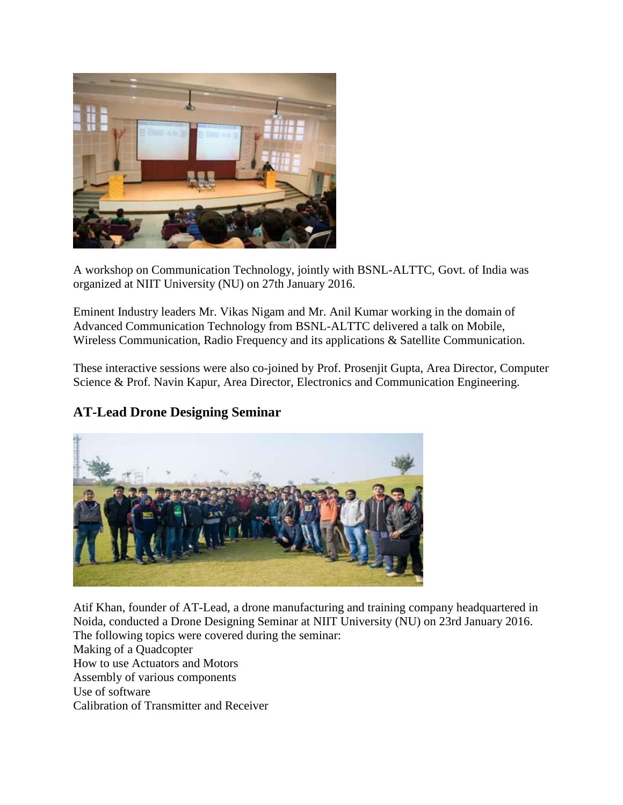

A workshop on Communication Technology, jointly with BSNL-ALTTC, Govt. of India was organized at NIIT University (NU) on 27th January 2016.

Eminent Industry leaders Mr. Vikas Nigam and Mr. Anil Kumar working in the domain of Advanced Communication Technology from BSNL-ALTTC delivered a talk on Mobile, Wireless Communication, Radio Frequency and its applications & Satellite Communication.

These interactive sessions were also co-joined by Prof. Prosenjit Gupta, Area Director, Computer Science & Prof. Navin Kapur, Area Director, Electronics and Communication Engineering.





Atif Khan, founder of AT-Lead, a drone manufacturing and training company headquartered in Noida, conducted a Drone Designing Seminar at NIIT University (NU) on 23rd January 2016. The following topics were covered during the seminar: Making of a Quadcopter How to use Actuators and Motors Assembly of various components Use of software Calibration of Transmitter and Receiver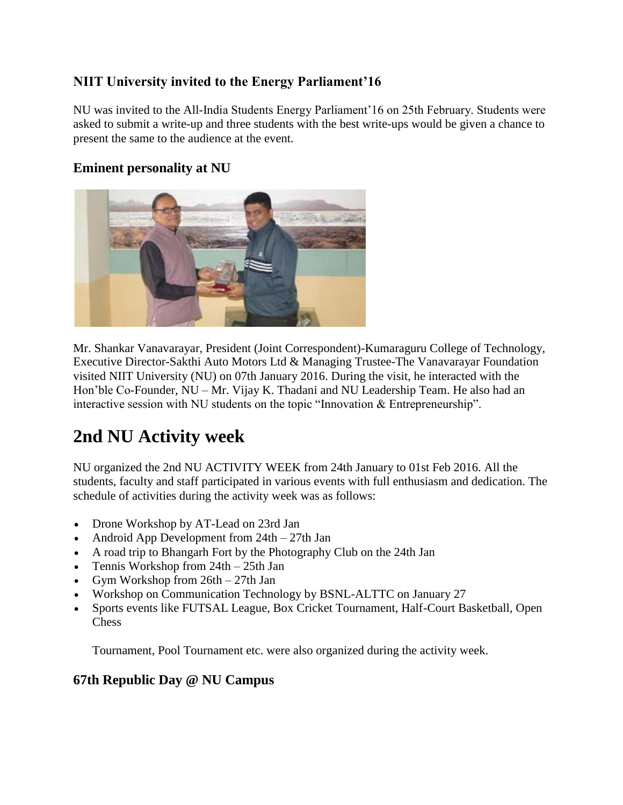# **NIIT University invited to the Energy Parliament'16**

NU was invited to the All-India Students Energy Parliament'16 on 25th February. Students were asked to submit a write-up and three students with the best write-ups would be given a chance to present the same to the audience at the event.

# **Eminent personality at NU**



Mr. Shankar Vanavarayar, President (Joint Correspondent)-Kumaraguru College of Technology, Executive Director-Sakthi Auto Motors Ltd & Managing Trustee-The Vanavarayar Foundation visited NIIT University (NU) on 07th January 2016. During the visit, he interacted with the Hon'ble Co-Founder, NU – Mr. Vijay K. Thadani and NU Leadership Team. He also had an interactive session with NU students on the topic "Innovation & Entrepreneurship".

# **2nd NU Activity week**

NU organized the 2nd NU ACTIVITY WEEK from 24th January to 01st Feb 2016. All the students, faculty and staff participated in various events with full enthusiasm and dedication. The schedule of activities during the activity week was as follows:

- Drone Workshop by AT-Lead on 23rd Jan
- Android App Development from 24th 27th Jan
- A road trip to Bhangarh Fort by the Photography Club on the 24th Jan
- Tennis Workshop from 24th 25th Jan
- Gym Workshop from 26th 27th Jan
- Workshop on Communication Technology by BSNL-ALTTC on January 27
- Sports events like FUTSAL League, Box Cricket Tournament, Half-Court Basketball, Open Chess

Tournament, Pool Tournament etc. were also organized during the activity week.

# **67th Republic Day @ NU Campus**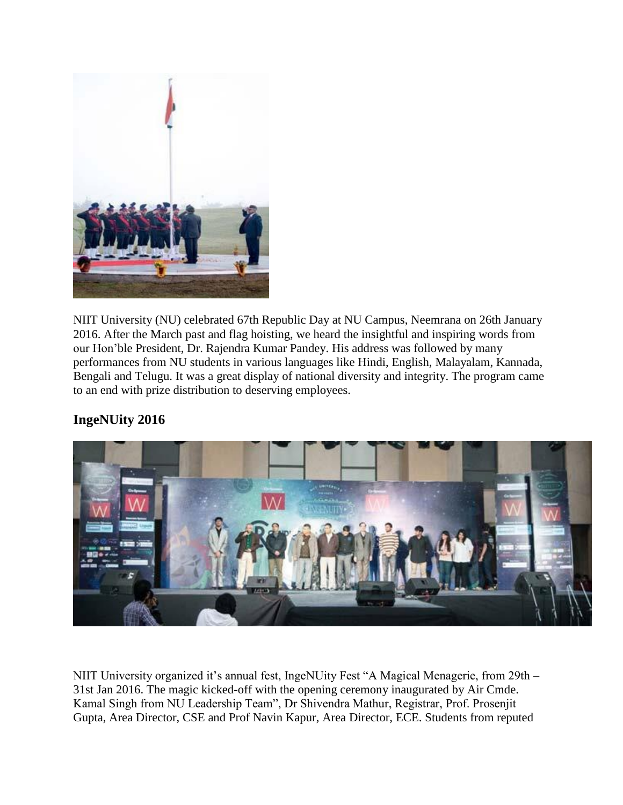

NIIT University (NU) celebrated 67th Republic Day at NU Campus, Neemrana on 26th January 2016. After the March past and flag hoisting, we heard the insightful and inspiring words from our Hon'ble President, Dr. Rajendra Kumar Pandey. His address was followed by many performances from NU students in various languages like Hindi, English, Malayalam, Kannada, Bengali and Telugu. It was a great display of national diversity and integrity. The program came to an end with prize distribution to deserving employees.

# **IngeNUity 2016**



NIIT University organized it's annual fest, IngeNUity Fest "A Magical Menagerie, from 29th – 31st Jan 2016. The magic kicked-off with the opening ceremony inaugurated by Air Cmde. Kamal Singh from NU Leadership Team", Dr Shivendra Mathur, Registrar, Prof. Prosenjit Gupta, Area Director, CSE and Prof Navin Kapur, Area Director, ECE. Students from reputed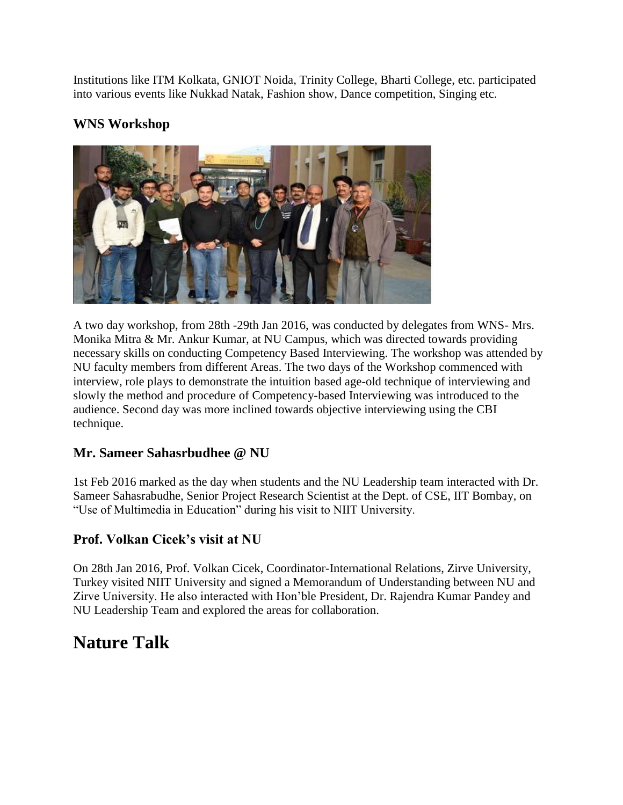Institutions like ITM Kolkata, GNIOT Noida, Trinity College, Bharti College, etc. participated into various events like Nukkad Natak, Fashion show, Dance competition, Singing etc.

# **WNS Workshop**



A two day workshop, from 28th -29th Jan 2016, was conducted by delegates from WNS- Mrs. Monika Mitra & Mr. Ankur Kumar, at NU Campus, which was directed towards providing necessary skills on conducting Competency Based Interviewing. The workshop was attended by NU faculty members from different Areas. The two days of the Workshop commenced with interview, role plays to demonstrate the intuition based age-old technique of interviewing and slowly the method and procedure of Competency-based Interviewing was introduced to the audience. Second day was more inclined towards objective interviewing using the CBI technique.

# **Mr. Sameer Sahasrbudhee @ NU**

1st Feb 2016 marked as the day when students and the NU Leadership team interacted with Dr. Sameer Sahasrabudhe, Senior Project Research Scientist at the Dept. of CSE, IIT Bombay, on "Use of Multimedia in Education" during his visit to NIIT University.

# **Prof. Volkan Cicek's visit at NU**

On 28th Jan 2016, Prof. Volkan Cicek, Coordinator-International Relations, Zirve University, Turkey visited NIIT University and signed a Memorandum of Understanding between NU and Zirve University. He also interacted with Hon'ble President, Dr. Rajendra Kumar Pandey and NU Leadership Team and explored the areas for collaboration.

# **Nature Talk**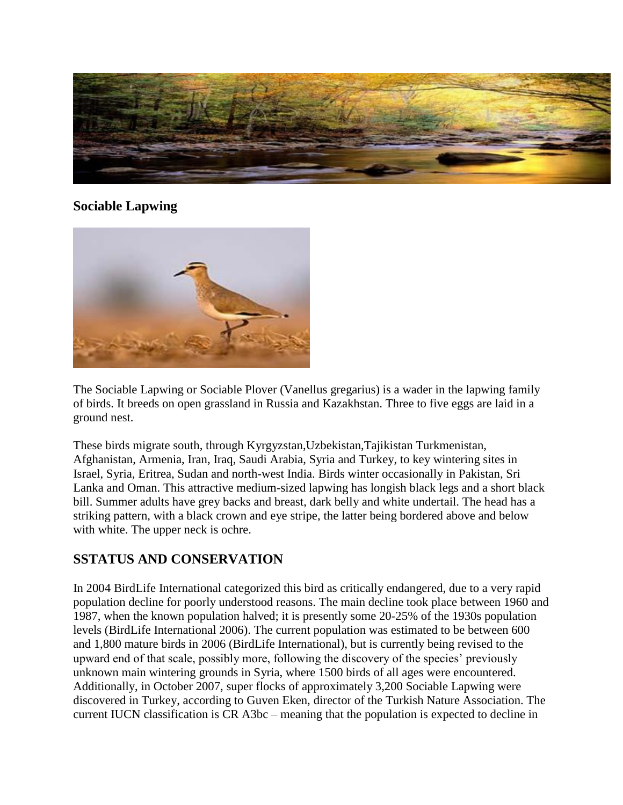

### **Sociable Lapwing**



The Sociable Lapwing or Sociable Plover (Vanellus gregarius) is a wader in the lapwing family of birds. It breeds on open grassland in Russia and Kazakhstan. Three to five eggs are laid in a ground nest.

These birds migrate south, through Kyrgyzstan,Uzbekistan,Tajikistan Turkmenistan, Afghanistan, Armenia, Iran, Iraq, Saudi Arabia, Syria and Turkey, to key wintering sites in Israel, Syria, Eritrea, Sudan and north-west India. Birds winter occasionally in Pakistan, Sri Lanka and Oman. This attractive medium-sized lapwing has longish black legs and a short black bill. Summer adults have grey backs and breast, dark belly and white undertail. The head has a striking pattern, with a black crown and eye stripe, the latter being bordered above and below with white. The upper neck is ochre.

### **SSTATUS AND CONSERVATION**

In 2004 BirdLife International categorized this bird as critically endangered, due to a very rapid population decline for poorly understood reasons. The main decline took place between 1960 and 1987, when the known population halved; it is presently some 20-25% of the 1930s population levels (BirdLife International 2006). The current population was estimated to be between 600 and 1,800 mature birds in 2006 (BirdLife International), but is currently being revised to the upward end of that scale, possibly more, following the discovery of the species' previously unknown main wintering grounds in Syria, where 1500 birds of all ages were encountered. Additionally, in October 2007, super flocks of approximately 3,200 Sociable Lapwing were discovered in Turkey, according to Guven Eken, director of the Turkish Nature Association. The current IUCN classification is CR A3bc – meaning that the population is expected to decline in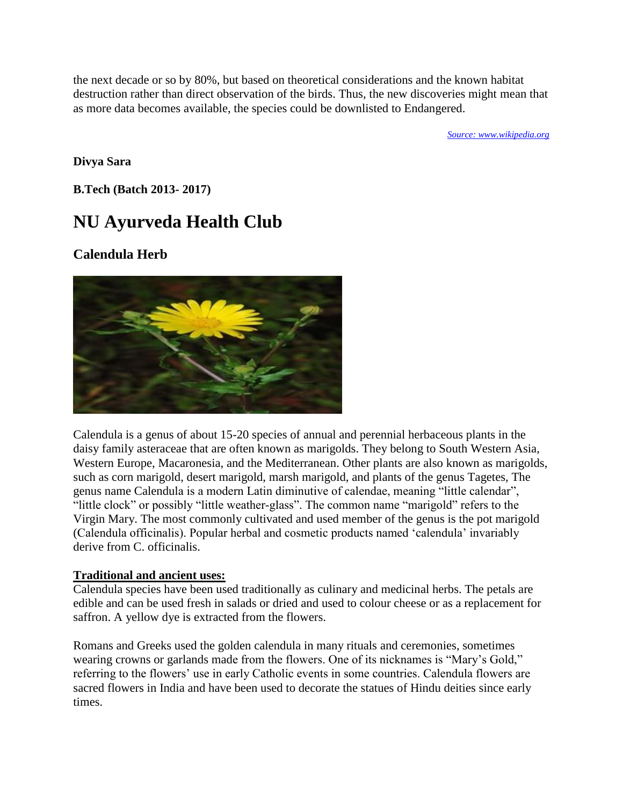the next decade or so by 80%, but based on theoretical considerations and the known habitat destruction rather than direct observation of the birds. Thus, the new discoveries might mean that as more data becomes available, the species could be downlisted to Endangered.

*[Source: www.wikipedia.org](http://www.wikipedia.org/)*

**Divya Sara**

**B.Tech (Batch 2013- 2017)**

# **NU Ayurveda Health Club**

# **Calendula Herb**



Calendula is a genus of about 15-20 species of annual and perennial herbaceous plants in the daisy family asteraceae that are often known as marigolds. They belong to South Western Asia, Western Europe, Macaronesia, and the Mediterranean. Other plants are also known as marigolds, such as corn marigold, desert marigold, marsh marigold, and plants of the genus Tagetes, The genus name Calendula is a modern Latin diminutive of calendae, meaning "little calendar", "little clock" or possibly "little weather-glass". The common name "marigold" refers to the Virgin Mary. The most commonly cultivated and used member of the genus is the pot marigold (Calendula officinalis). Popular herbal and cosmetic products named 'calendula' invariably derive from C. officinalis.

#### **Traditional and ancient uses:**

Calendula species have been used traditionally as culinary and medicinal herbs. The petals are edible and can be used fresh in salads or dried and used to colour cheese or as a replacement for saffron. A yellow dye is extracted from the flowers.

Romans and Greeks used the golden calendula in many rituals and ceremonies, sometimes wearing crowns or garlands made from the flowers. One of its nicknames is "Mary's Gold," referring to the flowers' use in early Catholic events in some countries. Calendula flowers are sacred flowers in India and have been used to decorate the statues of Hindu deities since early times.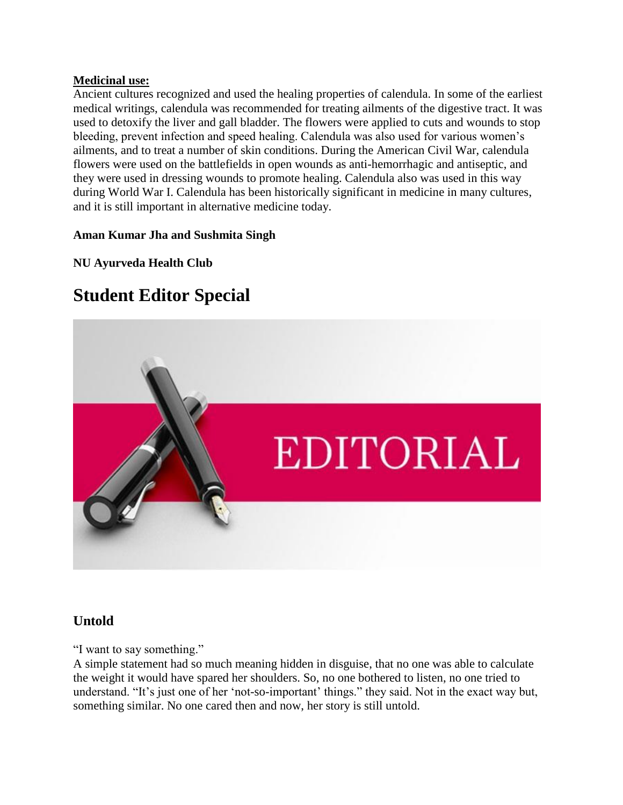#### **Medicinal use:**

Ancient cultures recognized and used the healing properties of calendula. In some of the earliest medical writings, calendula was recommended for treating ailments of the digestive tract. It was used to detoxify the liver and gall bladder. The flowers were applied to cuts and wounds to stop bleeding, prevent infection and speed healing. Calendula was also used for various women's ailments, and to treat a number of skin conditions. During the American Civil War, calendula flowers were used on the battlefields in open wounds as anti-hemorrhagic and antiseptic, and they were used in dressing wounds to promote healing. Calendula also was used in this way during World War I. Calendula has been historically significant in medicine in many cultures, and it is still important in alternative medicine today.

### **Aman Kumar Jha and Sushmita Singh**

### **NU Ayurveda Health Club**

# **Student Editor Special**



### **Untold**

"I want to say something."

A simple statement had so much meaning hidden in disguise, that no one was able to calculate the weight it would have spared her shoulders. So, no one bothered to listen, no one tried to understand. "It's just one of her 'not-so-important' things." they said. Not in the exact way but, something similar. No one cared then and now, her story is still untold.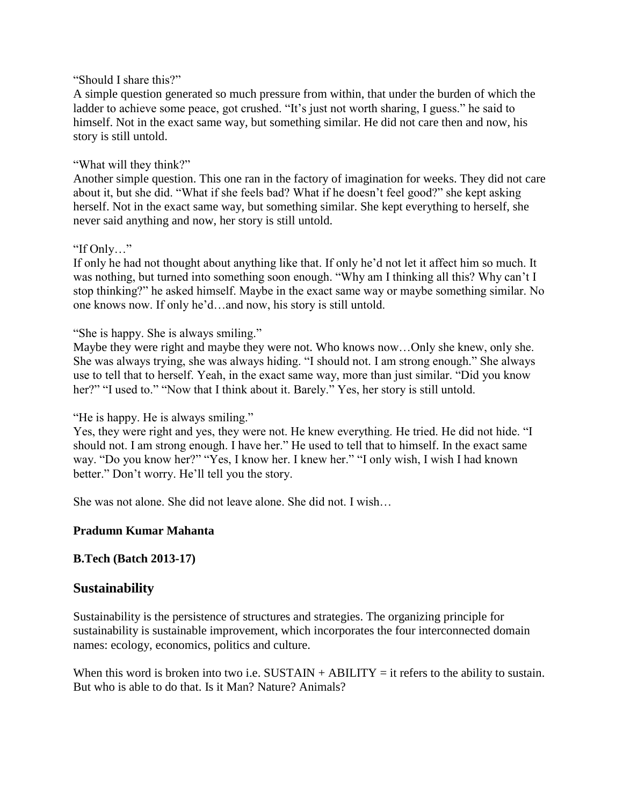#### "Should I share this?"

A simple question generated so much pressure from within, that under the burden of which the ladder to achieve some peace, got crushed. "It's just not worth sharing, I guess." he said to himself. Not in the exact same way, but something similar. He did not care then and now, his story is still untold.

#### "What will they think?"

Another simple question. This one ran in the factory of imagination for weeks. They did not care about it, but she did. "What if she feels bad? What if he doesn't feel good?" she kept asking herself. Not in the exact same way, but something similar. She kept everything to herself, she never said anything and now, her story is still untold.

#### "If Only…"

If only he had not thought about anything like that. If only he'd not let it affect him so much. It was nothing, but turned into something soon enough. "Why am I thinking all this? Why can't I stop thinking?" he asked himself. Maybe in the exact same way or maybe something similar. No one knows now. If only he'd…and now, his story is still untold.

#### "She is happy. She is always smiling."

Maybe they were right and maybe they were not. Who knows now…Only she knew, only she. She was always trying, she was always hiding. "I should not. I am strong enough." She always use to tell that to herself. Yeah, in the exact same way, more than just similar. "Did you know her?" "I used to." "Now that I think about it. Barely." Yes, her story is still untold.

#### "He is happy. He is always smiling."

Yes, they were right and yes, they were not. He knew everything. He tried. He did not hide. "I should not. I am strong enough. I have her." He used to tell that to himself. In the exact same way. "Do you know her?" "Yes, I know her. I knew her." "I only wish, I wish I had known better." Don't worry. He'll tell you the story.

She was not alone. She did not leave alone. She did not. I wish…

### **Pradumn Kumar Mahanta**

### **B.Tech (Batch 2013-17)**

### **Sustainability**

Sustainability is the persistence of structures and strategies. The organizing principle for sustainability is sustainable improvement, which incorporates the four interconnected domain names: ecology, economics, politics and culture.

When this word is broken into two i.e.  $SUSTAIN + ABILITY =$  it refers to the ability to sustain. But who is able to do that. Is it Man? Nature? Animals?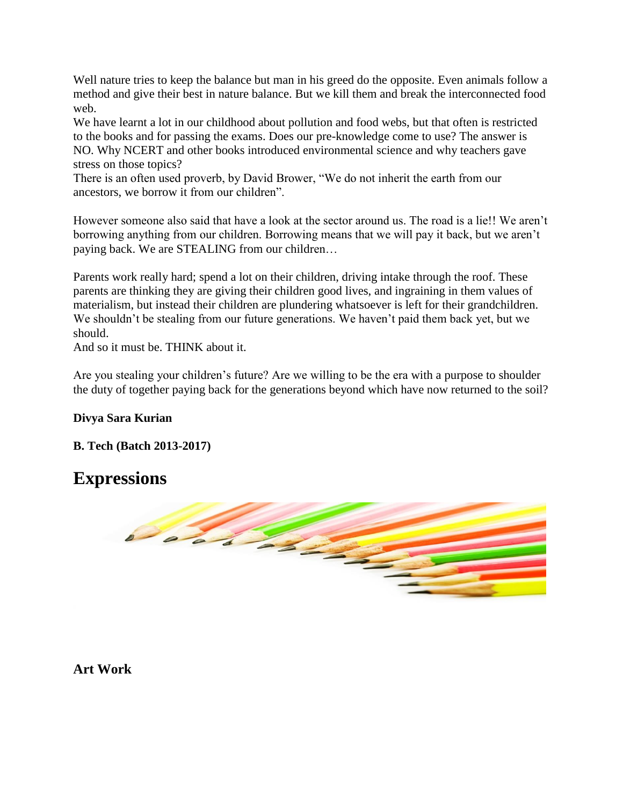Well nature tries to keep the balance but man in his greed do the opposite. Even animals follow a method and give their best in nature balance. But we kill them and break the interconnected food web.

We have learnt a lot in our childhood about pollution and food webs, but that often is restricted to the books and for passing the exams. Does our pre-knowledge come to use? The answer is NO. Why NCERT and other books introduced environmental science and why teachers gave stress on those topics?

There is an often used proverb, by David Brower, "We do not inherit the earth from our ancestors, we borrow it from our children".

However someone also said that have a look at the sector around us. The road is a lie!! We aren't borrowing anything from our children. Borrowing means that we will pay it back, but we aren't paying back. We are STEALING from our children…

Parents work really hard; spend a lot on their children, driving intake through the roof. These parents are thinking they are giving their children good lives, and ingraining in them values of materialism, but instead their children are plundering whatsoever is left for their grandchildren. We shouldn't be stealing from our future generations. We haven't paid them back yet, but we should.

And so it must be. THINK about it.

Are you stealing your children's future? Are we willing to be the era with a purpose to shoulder the duty of together paying back for the generations beyond which have now returned to the soil?

### **Divya Sara Kurian**

**B. Tech (Batch 2013-2017)**

# **Expressions**



**Art Work**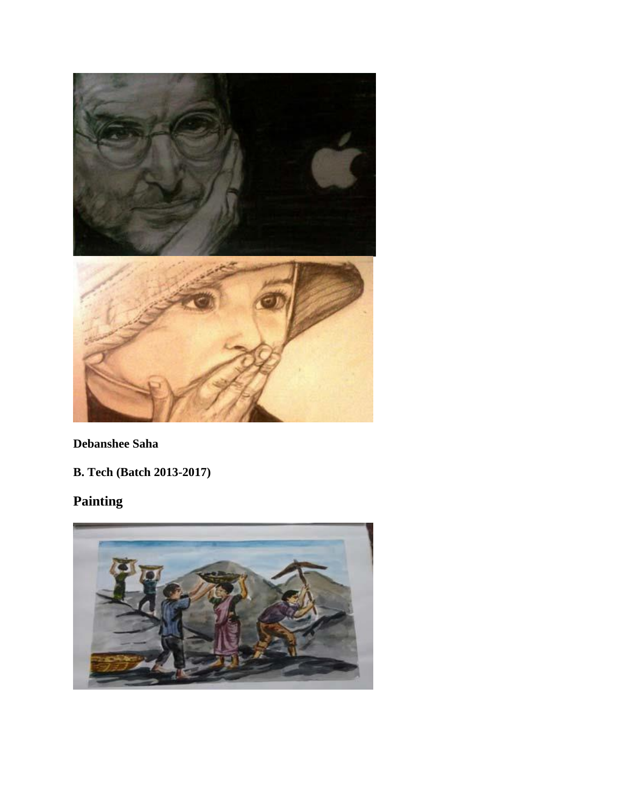

# **Debanshee Saha**

**B. Tech (Batch 2013-2017)**

# **Painting**

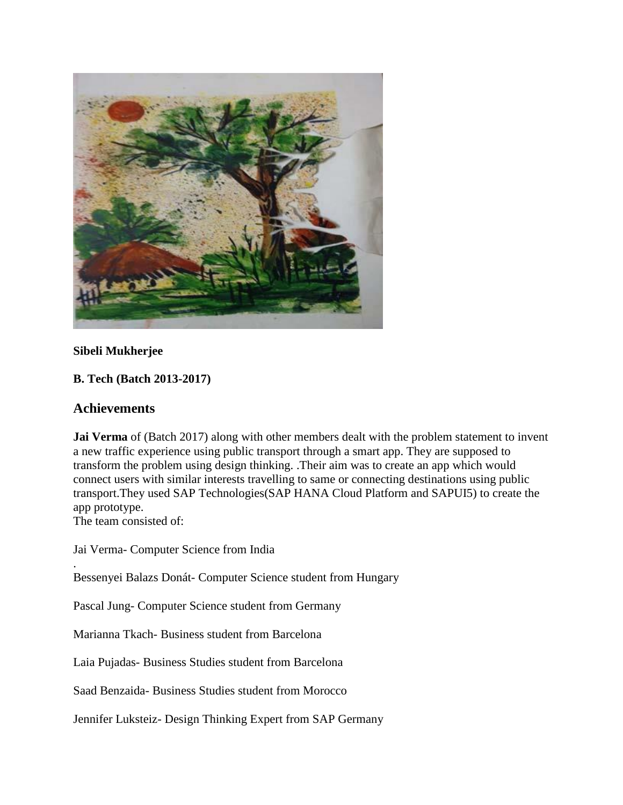

#### **Sibeli Mukherjee**

### **B. Tech (Batch 2013-2017)**

#### **Achievements**

**Jai Verma** of (Batch 2017) along with other members dealt with the problem statement to invent a new traffic experience using public transport through a smart app. They are supposed to transform the problem using design thinking. .Their aim was to create an app which would connect users with similar interests travelling to same or connecting destinations using public transport.They used SAP Technologies(SAP HANA Cloud Platform and SAPUI5) to create the app prototype.

The team consisted of:

.

Jai Verma- Computer Science from India

Bessenyei Balazs Donát- Computer Science student from Hungary

Pascal Jung- Computer Science student from Germany

Marianna Tkach- Business student from Barcelona

Laia Pujadas- Business Studies student from Barcelona

Saad Benzaida- Business Studies student from Morocco

Jennifer Luksteiz- Design Thinking Expert from SAP Germany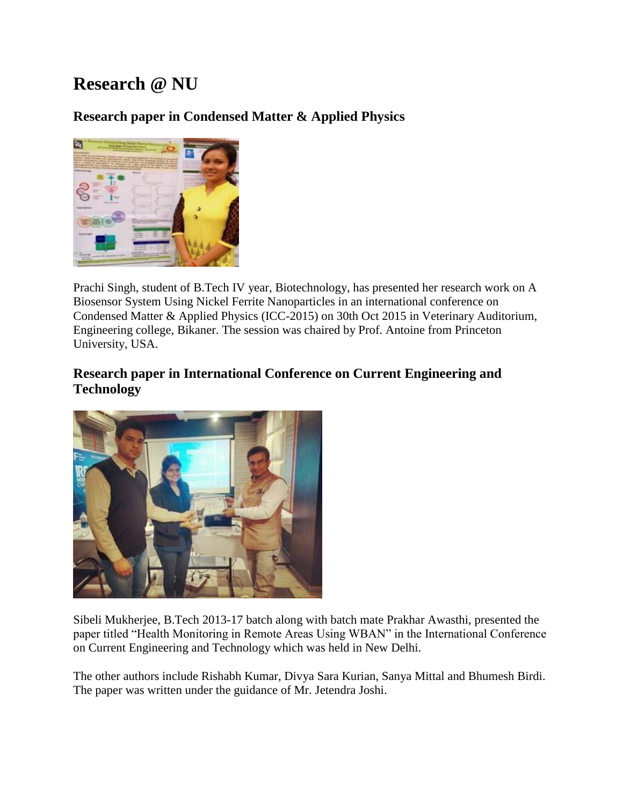# **Research @ NU**

# **Research paper in Condensed Matter & Applied Physics**



Prachi Singh, student of B.Tech IV year, Biotechnology, has presented her research work on A Biosensor System Using Nickel Ferrite Nanoparticles in an international conference on Condensed Matter & Applied Physics (ICC-2015) on 30th Oct 2015 in Veterinary Auditorium, Engineering college, Bikaner. The session was chaired by Prof. Antoine from Princeton University, USA.

### **Research paper in International Conference on Current Engineering and Technology**



Sibeli Mukherjee, B.Tech 2013-17 batch along with batch mate Prakhar Awasthi, presented the paper titled "Health Monitoring in Remote Areas Using WBAN" in the International Conference on Current Engineering and Technology which was held in New Delhi.

The other authors include Rishabh Kumar, Divya Sara Kurian, Sanya Mittal and Bhumesh Birdi. The paper was written under the guidance of Mr. Jetendra Joshi.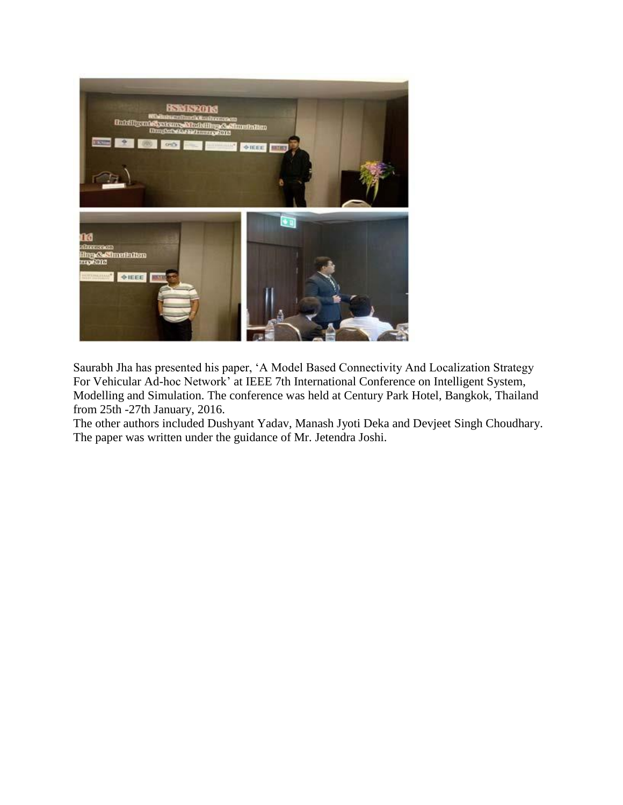

Saurabh Jha has presented his paper, 'A Model Based Connectivity And Localization Strategy For Vehicular Ad-hoc Network' at IEEE 7th International Conference on Intelligent System, Modelling and Simulation. The conference was held at Century Park Hotel, Bangkok, Thailand from 25th -27th January, 2016.

The other authors included Dushyant Yadav, Manash Jyoti Deka and Devjeet Singh Choudhary. The paper was written under the guidance of Mr. Jetendra Joshi.